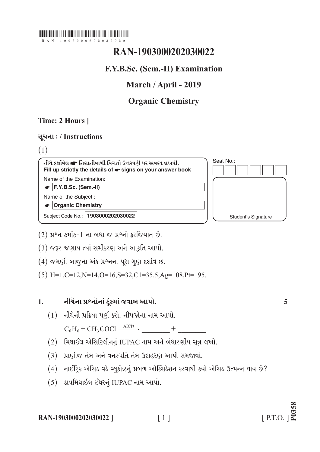## 

# RAN-1903000202030022

# F.Y.B.Sc. (Sem.-II) Examination

## March / April - 2019

# **Organic Chemistry**

## Time: 2 Hours 1

## सूथना:/Instructions

 $(1)$ 

નીચે દર્શાવેલ σ નિશાનીવાળી વિગતો ઉત્તરવહી પર અવશ્ય લખવી. Fill up strictly the details of  $\bullet$  signs on your answer book Name of the Examination:

 $\bullet$  F.Y.B.Sc. (Sem.-II)

Name of the Subject:

 $\bullet$  Organic Chemistry

Subject Code No.: 1903000202030022



 $(2)$  પ્રશ્ન ક્રમાંક-1 ના બધા જ પ્રશ્નો કરજિયાત છે.

(3) જરૂર જણાય ત્યાં સમીકરણ અને આકૃતિ આપો.

(4) જમણી બાજુના અંક પ્રશ્નના પરા ગણ દર્શાવે છે.

 $(5)$  H=1.C=12.N=14.O=16.S=32.C1=35.5.Ag=108.Pt=195.

#### નીચેના પ્રશ્નોનાં ટુંકમાં જવાબ આપો.  $1<sub>1</sub>$

 $(1)$  નીચેની પ્રક્રિયા પૂર્ણ કરો. નીપજોના નામ આપો.

 $C_6H_6 + CH_3COCl \xrightarrow{AICI_3} +$ 

- (2) મિથાઈલ એસિટિલીનનું IUPAC નામ અને બંધારણીય સૂત્ર લખો.
- (3) પ્રાણીજ તેલ અને વનસ્પતિ તેલ ઉદાહરણ આપી સમજાવો.
- (4) નાઈટ્રિક એસિડ વડે ગ્લુકોઝનું પ્રબળ ઓક્સિડેશન કરવાથી કયો એસિડ ઉત્પન્ન થાય છે?
- (5) ડાયમિથાઈલ ઈથરનું IUPAC નામ આપો.

5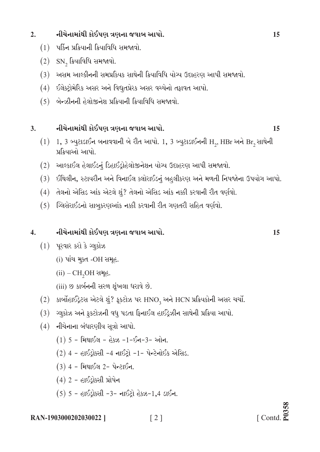#### નીચેનામાંથી કોઈપણ ત્રણના જવાબ આપો.  $2.$

- $(1)$  પર્કિન પ્રક્રિયાની ક્રિયાવિધિ સમજાવો.
- $(2)$  SN, ક્રિયાવિધિ સમજાવો.
- (3) અસમ આલ્કીનની સમપ્રકિયક સાથેની ક્રિયાવિધિ યોગ્ય ઉદાહરણ આપી સમજાવો.
- (4) ઈલેક્ટ્રોમેરિક અસર અને વિદ્યુતપ્રેરક અસર વચ્ચેનો તફાવત આપો.
- $(5)$  બેન્ઝીનની હેલોજીનેશ પ્રક્રિયાની ક્રિયાવિધિ સમજાવો.

#### નીચેનામાંથી કોઈપણ ત્રણના જવાબ આપો.  $3.$

- $(1)$  1, 3 બ્યુટાડાઈન બનાવવાની બે રીત આપો. 1, 3 બ્યુટાડાઈનની H<sub>2</sub>, HBr અને Br<sub>2</sub> સાથેની પ્રક્રિયાઓ આપો.
- (2) આલ્કાઈલ હેલાઈડનું ડિહાઈડ્રોહેલોજીનેશન યોગ્ય ઉદાહરણ આપી સમજાવો.
- (3) ઈથિલીન, સ્ટાયરીન અને વિનાઈલ ક્લોરાઈડનું બહલીકરણ અને મળતી નિપજોના ઉપયોગ આપો.
- $(4)$  તેલનો એસિડ આંક એટલે શું? તેલનો એસિડ આંક નક્કી કરવાની રીત વર્ણવો.
- $(5)$  સ્લિસેરાઈડનો સાબુકરણઆંક નક્કી કરવાની રીત ગણતરી સહિત વર્ણવો.

#### નીચેનામાંથી કોઈપણ ત્રણના જવાબ આપો.  $\overline{4}$ .

- $(1)$  પૂરવાર કરો કે ગ્લુકોઝ
	- (i) પાંચ મુક્ત -OH સમૂહ.
	- $(ii)$  CH<sub>2</sub>OH સમૂહ.
	- (iii) છ કાર્બનની સરળ શુંખલા ધરાવે છે.
- $(2)$  કાર્બોહાઈડ્રેટસ એટલે શું? ફૂકટોઝ પર HNO<sub>3</sub> અને HCN પ્રક્રિયકોની અસર ચર્ચો.
- (3) ગ્લુકોઝ અને ફુકટોઝની વધુ પડતા ફિનાઈલ હાઈડ્રેઝીન સાથેની પ્રક્રિયા આપો.
- $(4)$  નીચેનાના બંધારણીય સત્રો આપો.
	- $(1)$  5 મિથાઈલ હેક્ઝ -1-ઈન-3- ઓન.
	- $(2)$  4 હાઈડ્રોક્સી -4 નાઈટ્રો -1- પેન્ટેનોઈક એસિડ.
	- $(3)$  4 મિથાઈલ 2- પેન્ટાઈન.
	- $(4)$  2 હાઈડ્રોક્સી પ્રોપેન
	- $(5)$  5 હાઈડ્રોક્સી -3- નાઈટ્રો હેક્ઝ-1,4 ડાઈન.

RAN-1903000202030022 1  $\lceil 2 \rceil$  15

15

 $\begin{bmatrix} \text{Contd.} \\ \text{Contd.} \end{bmatrix}$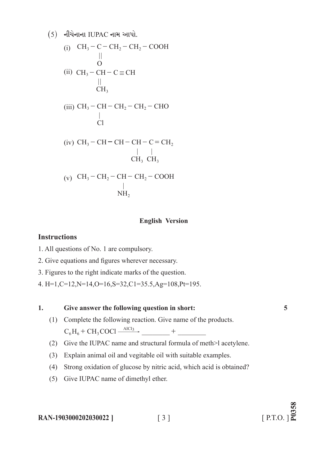(5) 
$$
\sqrt{4} = \sqrt{4} + \sqrt{4} = \sqrt{4} + \sqrt{4} = \sqrt{4} + \sqrt{4} = \sqrt{4} + \sqrt{4} = \sqrt{4} + \sqrt{4} = \sqrt{4} + \sqrt{4} = \sqrt{4} + \sqrt{4} = \sqrt{4} + \sqrt{4} = \sqrt{4} + \sqrt{4} = \sqrt{4} + \sqrt{4} = \sqrt{4} + \sqrt{4} = \sqrt{4} + \sqrt{4} = \sqrt{4} + \sqrt{4} = \sqrt{4} + \sqrt{4} = \sqrt{4} + \sqrt{4} = \sqrt{4} + \sqrt{4} = \sqrt{4} + \sqrt{4} = \sqrt{4} + \sqrt{4} = \sqrt{4} + \sqrt{4} = \sqrt{4} + \sqrt{4} = \sqrt{4} + \sqrt{4} = \sqrt{4} + \sqrt{4} = \sqrt{4} + \sqrt{4} = \sqrt{4} + \sqrt{4} = \sqrt{4} + \sqrt{4} = \sqrt{4} + \sqrt{4} = \sqrt{4} + \sqrt{4} = \sqrt{4} + \sqrt{4} = \sqrt{4} + \sqrt{4} = \sqrt{4} + \sqrt{4} = \sqrt{4} + \sqrt{4} = \sqrt{4} + \sqrt{4} = \sqrt{4} + \sqrt{4} = \sqrt{4} + \sqrt{4} = \sqrt{4} + \sqrt{4} = \sqrt{4} + \sqrt{4} = \sqrt{4} + \sqrt{4} = \sqrt{4} + \sqrt{4} = \sqrt{4} + \sqrt{4} = \sqrt{4} + \sqrt{4} = \sqrt{4} + \sqrt{4} = \sqrt{4} + \sqrt{4} = \sqrt{4} + \sqrt{4} = \sqrt{4} + \sqrt{4} = \sqrt{4} + \sqrt{4} = \sqrt{4} + \sqrt{4} = \sqrt{4} + \sqrt{4} = \sqrt{4} + \sqrt{4} = \sqrt{4} + \sqrt{4} = \sqrt{4} + \sqrt{4} = \sqrt{4} + \sqrt{4} = \sqrt{4} + \sqrt{4} = \sqrt{4} + \sqrt{4} = \sqrt{4} + \sqrt{4} = \sqrt{4} + \sqrt{4} = \sqrt{4} + \sqrt{4} = \sqrt{4} + \sqrt{4} = \sqrt{4} + \sqrt{4} = \sqrt{4} + \sqrt{4} = \sqrt{4} + \sqrt{4} = \sqrt{4} + \sqrt{4} = \sqrt{4} + \sqrt{4} = \sqrt{4} + \sqrt{4
$$

## **English Version**

## **Instructions**

- 1. All questions of No. 1 are compulsory.
- 2. Give equations and figures wherever necessary.
- 3. Figures to the right indicate marks of the question.
- 4. H=1,C=12,N=14,O=16,S=32,C1=35.5,Ag=108,Pt=195.

### **1. Give answer the following question in short: 5**

- (1) Complete the following reaction. Give name of the products.  $C_6H_6 + CH_3COCl \xrightarrow{AICI_3} +$
- (2) Give the IUPAC name and structural formula of meth > l acetylene.
- (3) Explain animal oil and vegitable oil with suitable examples.
- (4) Strong oxidation of glucose by nitric acid, which acid is obtained?
- (5) Give IUPAC name of dimethyl ether.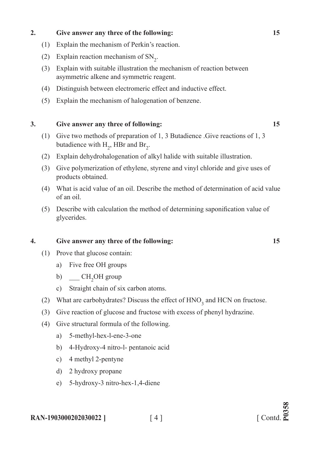## **2. Give answer any three of the following: 15**

- (1) Explain the mechanism of Perkin's reaction.
- (2) Explain reaction mechanism of  $SN_2$ .
	- (3) Explain with suitable illustration the mechanism of reaction between asymmetric alkene and symmetric reagent.
	- (4) Distinguish between electromeric effect and inductive effect.
	- (5) Explain the mechanism of halogenation of benzene.

## **3. Give answer any three of following: 15**

- (1) Give two methods of preparation of 1, 3 Butadience .Give reactions of 1, 3 butadience with  $H_2$ , HBr and Br<sub>2</sub>.
- (2) Explain dehydrohalogenation of alkyl halide with suitable illustration.
- (3) Give polymerization of ethylene, styrene and vinyl chloride and give uses of products obtained.
- (4) What is acid value of an oil. Describe the method of determination of acid value of an oil.
- (5) Describe with calculation the method of determining saponification value of glycerides.

## **4. Give answer any three of the following: 15**

- (1) Prove that glucose contain:
	- a) Five free OH groups
- b)  $\underline{\hspace{1cm}}$  CH<sub>2</sub>OH group
	- c) Straight chain of six carbon atoms.
- (2) What are carbohydrates? Discuss the effect of  $HNO<sub>3</sub>$  and HCN on fructose.
	- (3) Give reaction of glucose and fructose with excess of phenyl hydrazine.
	- (4) Give structural formula of the following.
		- a) 5-methyl-hex-l-ene-3-one
		- b) 4-Hydroxy-4 nitro-l- pentanoic acid
		- c) 4 methyl 2-pentyne
		- d) 2 hydroxy propane
		- e) 5-hydroxy-3 nitro-hex-1,4-diene

## **RAN-1903000202030022** ] [ 4 ]

# $[$  Contd. $\sum_{n=1}^{\infty}$